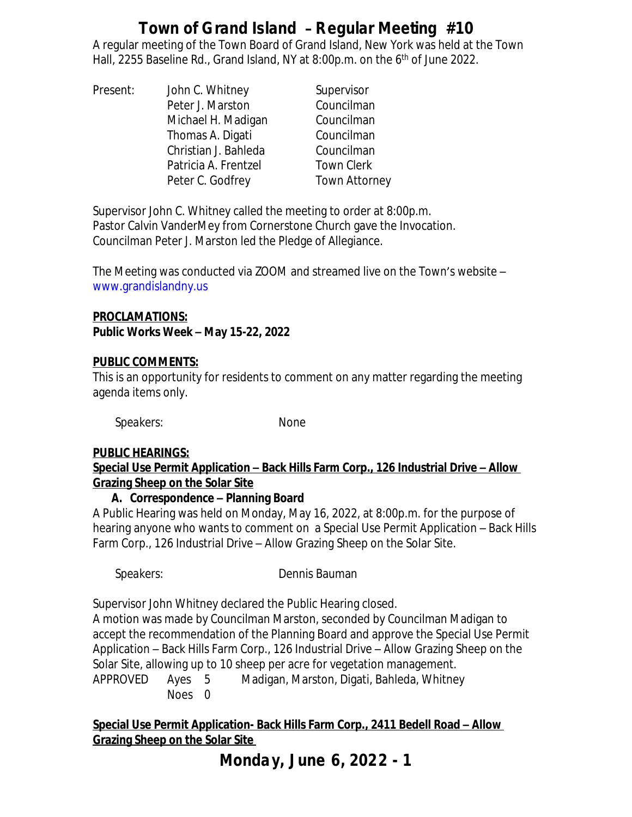A regular meeting of the Town Board of Grand Island, New York was held at the Town Hall, 2255 Baseline Rd., Grand Island, NY at 8:00p.m. on the 6<sup>th</sup> of June 2022.

Present: John C. Whitney Supervisor Peter J. Marston Councilman Michael H. Madigan Councilman Thomas A. Digati Councilman Christian J. Bahleda Councilman Patricia A. Frentzel Town Clerk Peter C. Godfrey Town Attorney

Supervisor John C. Whitney called the meeting to order at 8:00p.m. Pastor Calvin VanderMey from Cornerstone Church gave the Invocation. Councilman Peter J. Marston led the Pledge of Allegiance.

The Meeting was conducted via ZOOM and streamed live on the Town's website – [www.grandislandny.us](http://www.grandislandny.us)

#### **PROCLAMATIONS: Public Works Week – May 15-22, 2022**

### **PUBLIC COMMENTS:**

This is an opportunity for residents to comment on any matter regarding the meeting agenda items only.

Speakers: None

## **PUBLIC HEARINGS:**

### **Special Use Permit Application – Back Hills Farm Corp., 126 Industrial Drive – Allow Grazing Sheep on the Solar Site**

## **A. Correspondence – Planning Board**

A Public Hearing was held on Monday, May 16, 2022, at 8:00p.m. for the purpose of hearing anyone who wants to comment on a Special Use Permit Application – Back Hills Farm Corp., 126 Industrial Drive – Allow Grazing Sheep on the Solar Site.

*Speakers:* Dennis Bauman

Supervisor John Whitney declared the Public Hearing closed.

A motion was made by Councilman Marston, seconded by Councilman Madigan to accept the recommendation of the Planning Board and approve the Special Use Permit Application – Back Hills Farm Corp., 126 Industrial Drive – Allow Grazing Sheep on the Solar Site, allowing up to 10 sheep per acre for vegetation management.

APPROVED Ayes 5 Madigan, Marston, Digati, Bahleda, Whitney Noes 0

**<u>Special Use Permit Application- Back Hills Farm Corp., 2411 Bedell Road – Allow</u> Grazing Sheep on the Solar Site** 

**Monday, June 6, 2022 - 1**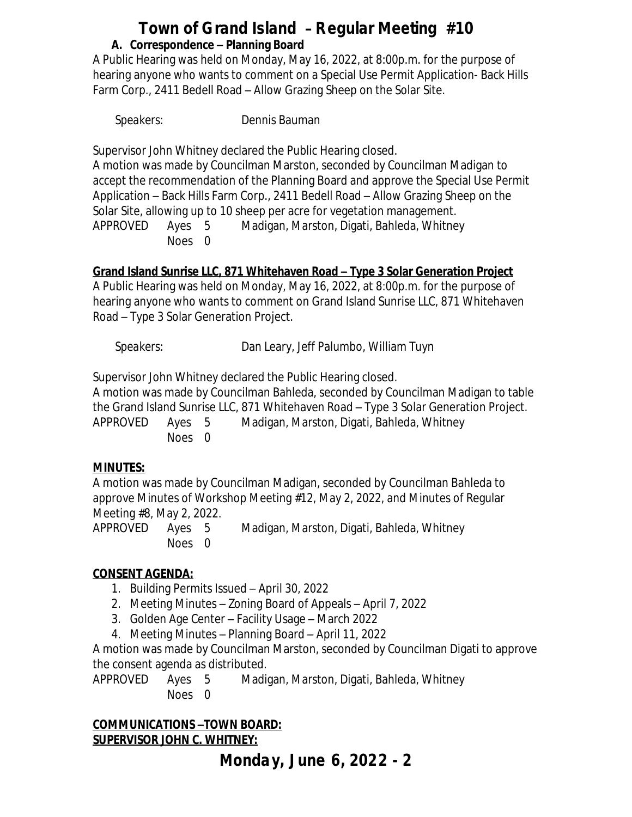## **Town of Grand Island** – **Regular Meeting #10 A. Correspondence – Planning Board**

A Public Hearing was held on Monday, May 16, 2022, at 8:00p.m. for the purpose of hearing anyone who wants to comment on a Special Use Permit Application- Back Hills Farm Corp., 2411 Bedell Road – Allow Grazing Sheep on the Solar Site.

*Speakers:* Dennis Bauman

Supervisor John Whitney declared the Public Hearing closed.

A motion was made by Councilman Marston, seconded by Councilman Madigan to accept the recommendation of the Planning Board and approve the Special Use Permit Application – Back Hills Farm Corp., 2411 Bedell Road – Allow Grazing Sheep on the Solar Site, allowing up to 10 sheep per acre for vegetation management.

APPROVED Ayes 5 Madigan, Marston, Digati, Bahleda, Whitney Noes 0

## **Grand Island Sunrise LLC, 871 Whitehaven Road – Type 3 Solar Generation Project**

A Public Hearing was held on Monday, May 16, 2022, at 8:00p.m. for the purpose of hearing anyone who wants to comment on Grand Island Sunrise LLC, 871 Whitehaven Road – Type 3 Solar Generation Project.

*Speakers:* Dan Leary, Jeff Palumbo, William Tuyn

Supervisor John Whitney declared the Public Hearing closed.

A motion was made by Councilman Bahleda, seconded by Councilman Madigan to table the Grand Island Sunrise LLC, 871 Whitehaven Road – Type 3 Solar Generation Project. APPROVED Ayes 5 Madigan, Marston, Digati, Bahleda, Whitney Noes 0

## **MINUTES:**

A motion was made by Councilman Madigan, seconded by Councilman Bahleda to approve Minutes of Workshop Meeting #12, May 2, 2022, and Minutes of Regular Meeting #8, May 2, 2022.

APPROVED Ayes 5 Madigan, Marston, Digati, Bahleda, Whitney Noes 0

## **CONSENT AGENDA:**

- 1. Building Permits Issued April 30, 2022
- 2. Meeting Minutes Zoning Board of Appeals April 7, 2022
- 3. Golden Age Center Facility Usage March 2022
- 4. Meeting Minutes Planning Board April 11, 2022

A motion was made by Councilman Marston, seconded by Councilman Digati to approve the consent agenda as distributed.

APPROVED Ayes 5 Madigan, Marston, Digati, Bahleda, Whitney Noes 0

### **COMMUNICATIONS –TOWN BOARD: SUPERVISOR JOHN C. WHITNEY:**

**Monday, June 6, 2022 - 2**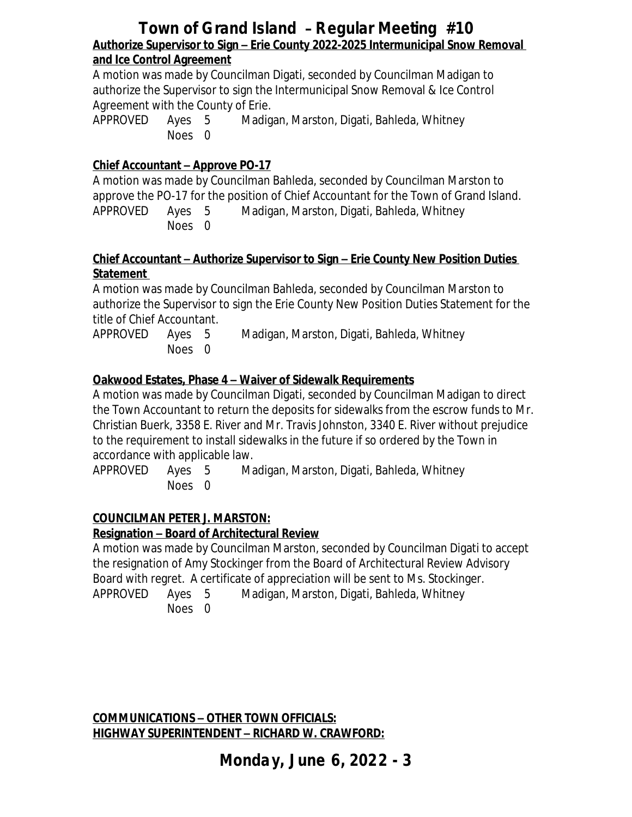## **Town of Grand Island** – **Regular Meeting #10 Authorize Supervisor to Sign – Erie County 2022-2025 Intermunicipal Snow Removal and Ice Control Agreement**

A motion was made by Councilman Digati, seconded by Councilman Madigan to authorize the Supervisor to sign the Intermunicipal Snow Removal & Ice Control Agreement with the County of Erie.

APPROVED Ayes 5 Madigan, Marston, Digati, Bahleda, Whitney Noes 0

### **Chief Accountant – Approve PO-17**

A motion was made by Councilman Bahleda, seconded by Councilman Marston to approve the PO-17 for the position of Chief Accountant for the Town of Grand Island. APPROVED Ayes 5 Madigan, Marston, Digati, Bahleda, Whitney Noes 0

#### **Chief Accountant – Authorize Supervisor to Sign – Erie County New Position Duties Statement**

A motion was made by Councilman Bahleda, seconded by Councilman Marston to authorize the Supervisor to sign the Erie County New Position Duties Statement for the title of Chief Accountant.

APPROVED Ayes 5 Madigan, Marston, Digati, Bahleda, Whitney Noes 0

### **Oakwood Estates, Phase 4 – Waiver of Sidewalk Requirements**

A motion was made by Councilman Digati, seconded by Councilman Madigan to direct the Town Accountant to return the deposits for sidewalks from the escrow funds to Mr. Christian Buerk, 3358 E. River and Mr. Travis Johnston, 3340 E. River without prejudice to the requirement to install sidewalks in the future if so ordered by the Town in accordance with applicable law.

APPROVED Ayes 5 Madigan, Marston, Digati, Bahleda, Whitney Noes 0

## **COUNCILMAN PETER J. MARSTON:**

### **Resignation – Board of Architectural Review**

A motion was made by Councilman Marston, seconded by Councilman Digati to accept the resignation of Amy Stockinger from the Board of Architectural Review Advisory Board with regret. A certificate of appreciation will be sent to Ms. Stockinger. APPROVED Ayes 5 Madigan, Marston, Digati, Bahleda, Whitney

Noes 0

**COMMUNICATIONS – OTHER TOWN OFFICIALS: HIGHWAY SUPERINTENDENT – RICHARD W. CRAWFORD:**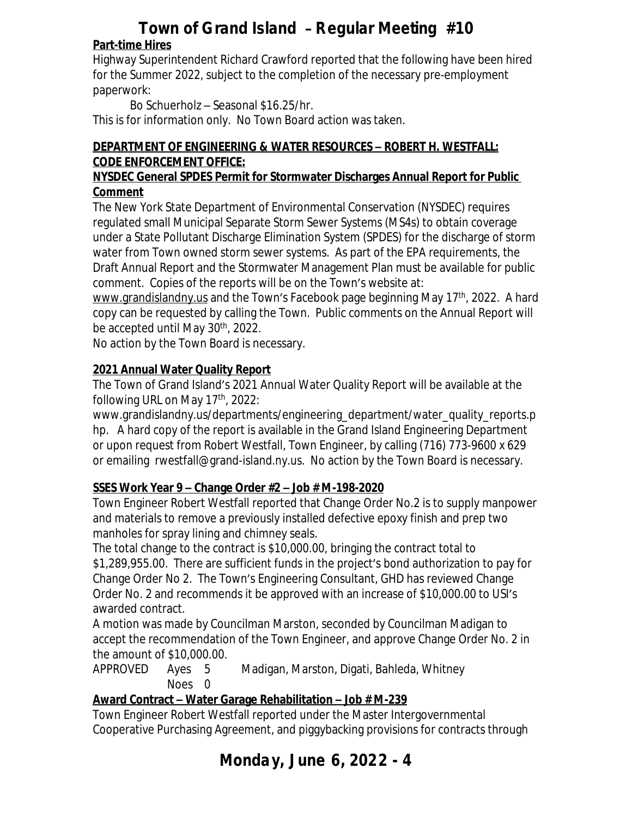## **Part-time Hires**

Highway Superintendent Richard Crawford reported that the following have been hired for the Summer 2022, subject to the completion of the necessary pre-employment paperwork:

Bo Schuerholz – Seasonal \$16.25/hr.

This is for information only. No Town Board action was taken.

## **DEPARTMENT OF ENGINEERING & WATER RESOURCES – ROBERT H. WESTFALL: CODE ENFORCEMENT OFFICE:**

### **NYSDEC General SPDES Permit for Stormwater Discharges Annual Report for Public Comment**

The New York State Department of Environmental Conservation (NYSDEC) requires regulated small Municipal Separate Storm Sewer Systems (MS4s) to obtain coverage under a State Pollutant Discharge Elimination System (SPDES) for the discharge of storm water from Town owned storm sewer systems. As part of the EPA requirements, the Draft Annual Report and the Stormwater Management Plan must be available for public comment. Copies of the reports will be on the Town's website at:

[www.grandislandny.us](http://www.grandislandny.us) and the Town's Facebook page beginning May 17<sup>th</sup>, 2022. A hard copy can be requested by calling the Town. Public comments on the Annual Report will be accepted until May 30<sup>th</sup>, 2022.

No action by the Town Board is necessary.

## **2021 Annual Water Quality Report**

The Town of Grand Island's 2021 Annual Water Quality Report will be available at the following URL on May 17<sup>th</sup>, 2022:

[www.grandislandny.us/departments/engineering\\_department/water\\_quality\\_reports.p](http://www.grandislandny.us/departments/engineering_department/water_quality_reports.php) hp. A hard copy of the report is available in the Grand Island Engineering Department or upon request from Robert Westfall, Town Engineer, by calling (716) 773-9600 x 629 or emailing [rwestfall@grand-island.ny.us](mailto:rwestfall@grand-island.ny.us). No action by the Town Board is necessary.

## **SSES Work Year 9 – Change Order #2 – Job # M-198-2020**

Town Engineer Robert Westfall reported that Change Order No.2 is to supply manpower and materials to remove a previously installed defective epoxy finish and prep two manholes for spray lining and chimney seals.

The total change to the contract is \$10,000.00, bringing the contract total to \$1,289,955.00. There are sufficient funds in the project's bond authorization to pay for Change Order No 2. The Town's Engineering Consultant, GHD has reviewed Change Order No. 2 and recommends it be approved with an increase of \$10,000.00 to USI's awarded contract.

A motion was made by Councilman Marston, seconded by Councilman Madigan to accept the recommendation of the Town Engineer, and approve Change Order No. 2 in the amount of \$10,000.00.

APPROVED Ayes 5 Madigan, Marston, Digati, Bahleda, Whitney Noes 0

## **Award Contract – Water Garage Rehabilitation – Job # M-239**

Town Engineer Robert Westfall reported under the Master Intergovernmental Cooperative Purchasing Agreement, and piggybacking provisions for contracts through

# **Monday, June 6, 2022 - 4**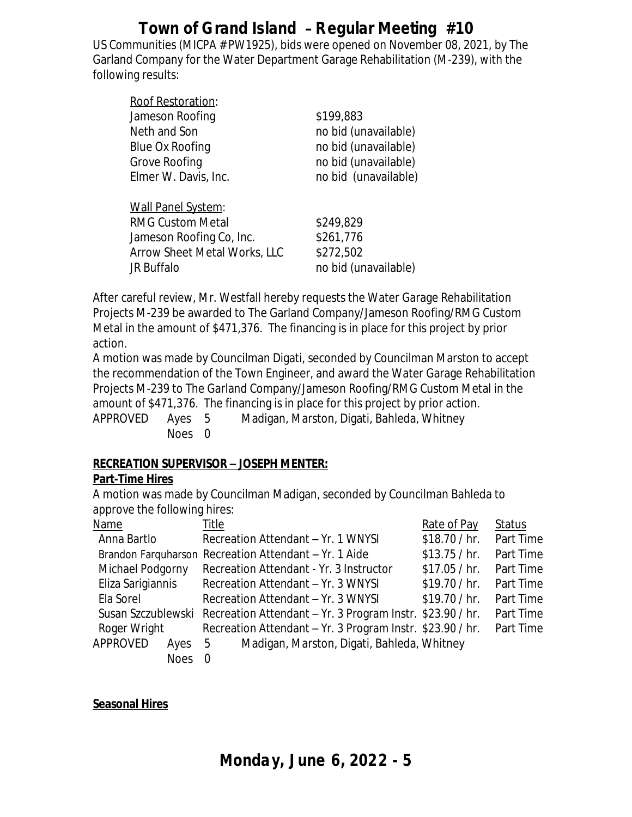US Communities (MICPA # PW1925), bids were opened on November 08, 2021, by The Garland Company for the Water Department Garage Rehabilitation (M-239), with the following results:

| Roof Restoration:                   |                      |
|-------------------------------------|----------------------|
| Jameson Roofing                     | \$199,883            |
| Neth and Son                        | no bid (unavailable) |
| Blue Ox Roofing                     | no bid (unavailable) |
| Grove Roofing                       | no bid (unavailable) |
| Elmer W. Davis, Inc.                | no bid (unavailable) |
|                                     |                      |
| <b>Wall Panel System:</b>           |                      |
| <b>RMG Custom Metal</b>             | \$249,829            |
| Jameson Roofing Co, Inc.            | \$261,776            |
| <b>Arrow Sheet Metal Works, LLC</b> | \$272,502            |
| JR Buffalo                          | no bid (unavailable) |

After careful review, Mr. Westfall hereby requests the Water Garage Rehabilitation Projects M-239 be awarded to The Garland Company/Jameson Roofing/RMG Custom Metal in the amount of \$471,376. The financing is in place for this project by prior action.

A motion was made by Councilman Digati, seconded by Councilman Marston to accept the recommendation of the Town Engineer, and award the Water Garage Rehabilitation Projects M-239 to The Garland Company/Jameson Roofing/RMG Custom Metal in the amount of \$471,376. The financing is in place for this project by prior action. APPROVED Ayes 5 Madigan, Marston, Digati, Bahleda, Whitney Noes 0

### **RECREATION SUPERVISOR – JOSEPH MENTER:**

## **Part-Time Hires**

A motion was made by Councilman Madigan, seconded by Councilman Bahleda to approve the following hires:

| <b>Name</b>        | Title                                                     | Rate of Pay   | <b>Status</b> |
|--------------------|-----------------------------------------------------------|---------------|---------------|
| Anna Bartlo        | Recreation Attendant - Yr. 1 WNYSI                        | \$18.70 / hr. | Part Time     |
|                    | Brandon Farguharson Recreation Attendant - Yr. 1 Aide     | \$13.75 / hr. | Part Time     |
| Michael Podgorny   | Recreation Attendant - Yr. 3 Instructor                   | \$17.05 / hr. | Part Time     |
| Eliza Sarigiannis  | Recreation Attendant - Yr. 3 WNYSI                        | \$19.70 / hr. | Part Time     |
| Ela Sorel          | Recreation Attendant - Yr. 3 WNYSI                        | \$19.70 / hr. | Part Time     |
| Susan Szczublewski | Recreation Attendant – Yr. 3 Program Instr. \$23.90 / hr. |               | Part Time     |
| Roger Wright       | Recreation Attendant - Yr. 3 Program Instr. \$23.90 / hr. |               | Part Time     |
| APPROVED<br>Ayes   | Madigan, Marston, Digati, Bahleda, Whitney<br>- 5         |               |               |
| <b>Noes</b>        |                                                           |               |               |

## **Seasonal Hires**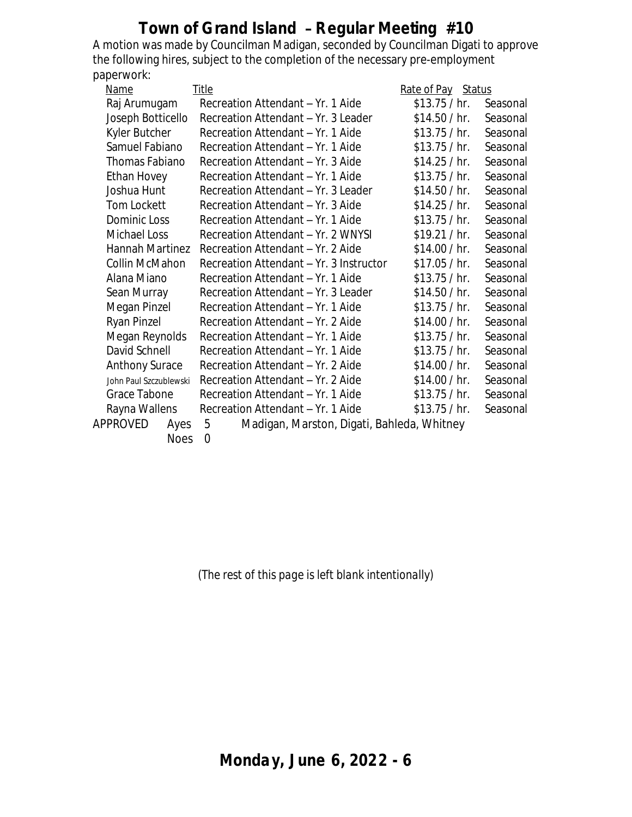A motion was made by Councilman Madigan, seconded by Councilman Digati to approve the following hires, subject to the completion of the necessary pre-employment paperwork:

| Name                   | <b>Title</b>                                    | Rate of Pay Status |          |
|------------------------|-------------------------------------------------|--------------------|----------|
| Raj Arumugam           | Recreation Attendant - Yr. 1 Aide               | \$13.75 / hr.      | Seasonal |
| Joseph Botticello      | Recreation Attendant - Yr. 3 Leader             | \$14.50 / hr.      | Seasonal |
| Kyler Butcher          | Recreation Attendant - Yr. 1 Aide               | \$13.75 / hr.      | Seasonal |
| Samuel Fabiano         | Recreation Attendant - Yr. 1 Aide               | \$13.75 / hr.      | Seasonal |
| Thomas Fabiano         | Recreation Attendant - Yr. 3 Aide               | \$14.25 / hr.      | Seasonal |
| Ethan Hovey            | Recreation Attendant - Yr. 1 Aide               | \$13.75 / hr.      | Seasonal |
| Joshua Hunt            | Recreation Attendant - Yr. 3 Leader             | \$14.50 / hr.      | Seasonal |
| Tom Lockett            | Recreation Attendant - Yr. 3 Aide               | \$14.25 / hr.      | Seasonal |
| Dominic Loss           | Recreation Attendant - Yr. 1 Aide               | \$13.75 / hr.      | Seasonal |
| Michael Loss           | Recreation Attendant - Yr. 2 WNYSI              | \$19.21 / hr.      | Seasonal |
| Hannah Martinez        | Recreation Attendant - Yr. 2 Aide               | \$14.00 / hr.      | Seasonal |
| Collin McMahon         | Recreation Attendant - Yr. 3 Instructor         | \$17.05 / hr.      | Seasonal |
| Alana Miano            | Recreation Attendant - Yr. 1 Aide               | \$13.75 / hr.      | Seasonal |
| Sean Murray            | Recreation Attendant - Yr. 3 Leader             | \$14.50 / hr.      | Seasonal |
| Megan Pinzel           | Recreation Attendant - Yr. 1 Aide               | \$13.75 / hr.      | Seasonal |
| Ryan Pinzel            | Recreation Attendant - Yr. 2 Aide               | \$14.00 / hr.      | Seasonal |
| Megan Reynolds         | Recreation Attendant - Yr. 1 Aide               | \$13.75 / hr.      | Seasonal |
| David Schnell          | Recreation Attendant - Yr. 1 Aide               | \$13.75 / hr.      | Seasonal |
| <b>Anthony Surace</b>  | Recreation Attendant - Yr. 2 Aide               | \$14.00 / hr.      | Seasonal |
| John Paul Szczublewski | Recreation Attendant - Yr. 2 Aide               | \$14.00 / hr.      | Seasonal |
| Grace Tabone           | Recreation Attendant - Yr. 1 Aide               | \$13.75 / hr.      | Seasonal |
| Rayna Wallens          | Recreation Attendant - Yr. 1 Aide               | \$13.75 / hr.      | Seasonal |
| APPROVED<br>Ayes       | Madigan, Marston, Digati, Bahleda, Whitney<br>5 |                    |          |
| <b>Noes</b>            | $\overline{0}$                                  |                    |          |

*(The rest of this page is left blank intentionally)*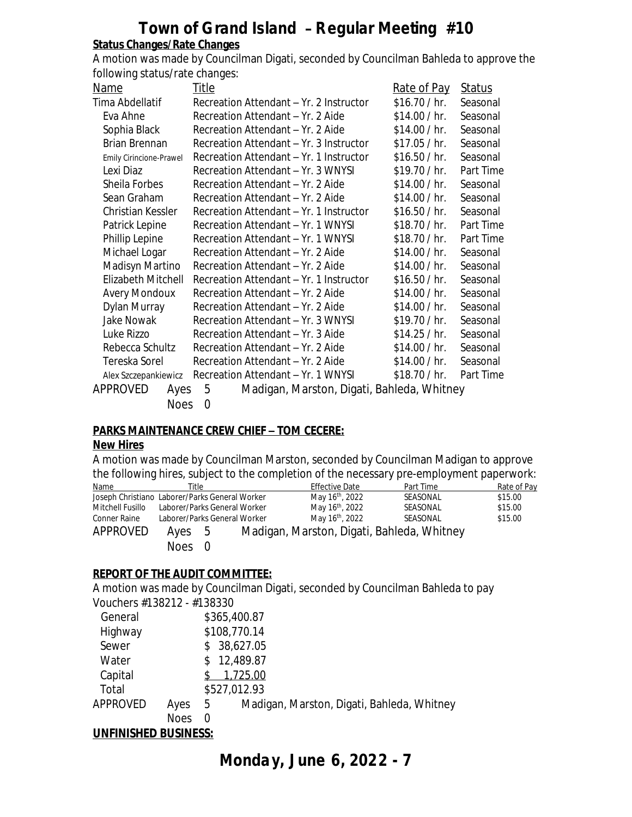#### **Status Changes/Rate Changes**

A motion was made by Councilman Digati, seconded by Councilman Bahleda to approve the following status/rate changes:

| Name                    | <u>Title</u>                                    | Rate of Pay   | <b>Status</b> |
|-------------------------|-------------------------------------------------|---------------|---------------|
| Tima Abdellatif         | Recreation Attendant - Yr. 2 Instructor         | \$16.70 / hr. | Seasonal      |
| Eva Ahne                | Recreation Attendant - Yr. 2 Aide               | \$14.00 / hr. | Seasonal      |
| Sophia Black            | Recreation Attendant - Yr. 2 Aide               | \$14.00 / hr. | Seasonal      |
| Brian Brennan           | Recreation Attendant - Yr. 3 Instructor         | \$17.05 / hr. | Seasonal      |
| Emily Cirincione-Prawel | Recreation Attendant - Yr. 1 Instructor         | \$16.50 / hr. | Seasonal      |
| Lexi Diaz               | Recreation Attendant - Yr. 3 WNYSI              | \$19.70 / hr. | Part Time     |
| Sheila Forbes           | Recreation Attendant - Yr. 2 Aide               | \$14.00 / hr. | Seasonal      |
| Sean Graham             | Recreation Attendant - Yr. 2 Aide               | \$14.00 / hr. | Seasonal      |
| Christian Kessler       | Recreation Attendant - Yr. 1 Instructor         | \$16.50 / hr. | Seasonal      |
| Patrick Lepine          | Recreation Attendant - Yr. 1 WNYSI              | \$18.70 / hr. | Part Time     |
| Phillip Lepine          | Recreation Attendant - Yr. 1 WNYSI              |               | Part Time     |
| Michael Logar           | Recreation Attendant - Yr. 2 Aide               | \$14.00 / hr. | Seasonal      |
| Madisyn Martino         | Recreation Attendant - Yr. 2 Aide               | \$14.00 / hr. | Seasonal      |
| Elizabeth Mitchell      | Recreation Attendant – Yr. 1 Instructor         | \$16.50 / hr. | Seasonal      |
| <b>Avery Mondoux</b>    | Recreation Attendant - Yr. 2 Aide               | \$14.00 / hr. | Seasonal      |
| Dylan Murray            | Recreation Attendant - Yr. 2 Aide               | \$14.00 / hr. | Seasonal      |
| Jake Nowak              | Recreation Attendant – Yr. 3 WNYSI              | \$19.70 / hr. | Seasonal      |
| Luke Rizzo              | Recreation Attendant - Yr. 3 Aide               | \$14.25 / hr. | Seasonal      |
| Rebecca Schultz         | Recreation Attendant - Yr. 2 Aide               | \$14.00 / hr. | Seasonal      |
| Tereska Sorel           | Recreation Attendant - Yr. 2 Aide               | \$14.00 / hr. | Seasonal      |
| Alex Szczepankiewicz    | Recreation Attendant - Yr. 1 WNYSI              | \$18.70 / hr. | Part Time     |
| APPROVED<br>Ayes        | Madigan, Marston, Digati, Bahleda, Whitney<br>5 |               |               |
| <b>Noes</b>             | 0                                               |               |               |

#### **PARKS MAINTENANCE CREW CHIEF – TOM CECERE:**

#### **New Hires**

A motion was made by Councilman Marston, seconded by Councilman Madigan to approve the following hires, subject to the completion of the necessary pre-employment paperwork:

| Name                                           | Гitle                        |  | <b>Effective Date</b>       | Part Time                                  | Rate of Pay |
|------------------------------------------------|------------------------------|--|-----------------------------|--------------------------------------------|-------------|
| Joseph Christiano Laborer/Parks General Worker |                              |  | May 16 <sup>th</sup> , 2022 | SEASONAL                                   | \$15.00     |
| Mitchell Fusillo                               | Laborer/Parks General Worker |  | May 16 <sup>th</sup> , 2022 | SEASONAL                                   | \$15.00     |
| Conner Raine                                   | Laborer/Parks General Worker |  | May 16 <sup>th</sup> , 2022 | SEASONAL                                   | \$15.00     |
| APPROVED                                       | Ayes 5                       |  |                             | Madigan, Marston, Digati, Bahleda, Whitney |             |
|                                                | Noes 0                       |  |                             |                                            |             |

### **REPORT OF THE AUDIT COMMITTEE:**

A motion was made by Councilman Digati, seconded by Councilman Bahleda to pay Vouchers #138212 - #138330

| General  |                | \$365,400.87                                    |
|----------|----------------|-------------------------------------------------|
| Highway  |                | \$108,770.14                                    |
| Sewer    |                | 38,627.05<br>S.                                 |
| Water    |                | 12,489.87                                       |
| Capital  |                | 1,725.00                                        |
| Total    |                | \$527,012.93                                    |
| APPROVED | Ayes           | Madigan, Marston, Digati, Bahleda, Whitney<br>5 |
|          | <b>Noes</b>    | $\Omega$                                        |
|          | $\blacksquare$ |                                                 |

### **UNFINISHED BUSINESS:**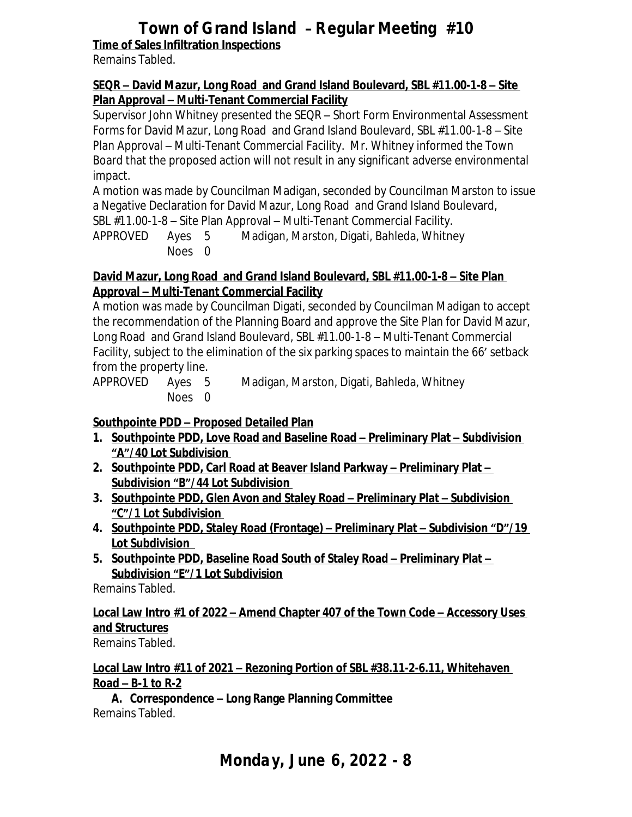**Time of Sales Infiltration Inspections**

Remains Tabled.

### **SEQR – David Mazur, Long Road and Grand Island Boulevard, SBL #11.00-1-8 – Site Plan Approval – Multi-Tenant Commercial Facility**

Supervisor John Whitney presented the SEQR – Short Form Environmental Assessment Forms for David Mazur, Long Road and Grand Island Boulevard, SBL #11.00-1-8 – Site Plan Approval – Multi-Tenant Commercial Facility. Mr. Whitney informed the Town Board that the proposed action will not result in any significant adverse environmental impact.

A motion was made by Councilman Madigan, seconded by Councilman Marston to issue a Negative Declaration for David Mazur, Long Road and Grand Island Boulevard, SBL #11.00-1-8 – Site Plan Approval – Multi-Tenant Commercial Facility.

APPROVED Ayes 5 Madigan, Marston, Digati, Bahleda, Whitney Noes 0

### **David Mazur, Long Road and Grand Island Boulevard, SBL #11.00-1-8 – Site Plan Approval – Multi-Tenant Commercial Facility**

A motion was made by Councilman Digati, seconded by Councilman Madigan to accept the recommendation of the Planning Board and approve the Site Plan for David Mazur, Long Road and Grand Island Boulevard, SBL #11.00-1-8 – Multi-Tenant Commercial Facility, subject to the elimination of the six parking spaces to maintain the 66' setback from the property line.

APPROVED Ayes 5 Madigan, Marston, Digati, Bahleda, Whitney Noes 0

## **Southpointe PDD – Proposed Detailed Plan**

- **1. Southpointe PDD, Love Road and Baseline Road – Preliminary Plat – Subdivision "A"/40 Lot Subdivision**
- **2.** Southpointe PDD, Carl Road at Beaver Island Parkway Preliminary Plat **Subdivision "B"/44 Lot Subdivision**
- **3. Southpointe PDD, Glen Avon and Staley Road – Preliminary Plat – Subdivision "C"/1 Lot Subdivision**
- **4. Southpointe PDD, Staley Road (Frontage) – Preliminary Plat – Subdivision "D"/19 Lot Subdivision**
- **5. Southpointe PDD, Baseline Road South of Staley Road – Preliminary Plat – Subdivision "E"/1 Lot Subdivision**

Remains Tabled.

# **Local Law Intro #1 of 2022 – Amend Chapter 407 of the Town Code – Accessory Uses and Structures**

Remains Tabled.

### **Local Law Intro #11 of 2021 – Rezoning Portion of SBL #38.11-2-6.11, Whitehaven Road – B-1 to R-2**

**A. Correspondence – Long Range Planning Committee** Remains Tabled.